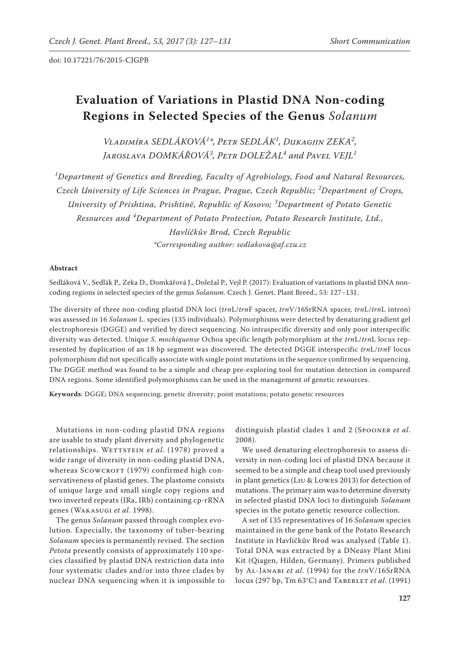# **Evaluation of Variations in Plastid DNA Non-coding Regions in Selected Species of the Genus** *Solanum*

*Vladimíra SEDLÁKOVÁ<sup>1</sup> \*, Petr SEDLÁK<sup>1</sup> , Dukagjin ZEKA<sup>2</sup> , Jaroslava DOMKÁŘOVÁ<sup>3</sup> , Petr DOLEŽAL<sup>4</sup> and Pavel VEJL<sup>1</sup>*

*1 Department of Genetics and Breeding, Faculty of Agrobiology, Food and Natural Resources, Czech University of Life Sciences in Prague, Prague, Czech Republic; <sup>2</sup> Department of Crops, University of Prishtina, Prishtinë, Republic of Kosovo; <sup>3</sup> Department of Potato Genetic Resources and <sup>4</sup> Department of Potato Protection, Potato Research Institute, Ltd., Havlíčkův Brod, Czech Republic \*Corresponding author: sedlakova@af.czu.cz*

#### **Abstract**

Sedláková V., Sedlák P., Zeka D., Domkářová J., Doležal P., Vejl P. (2017): Evaluation of variations in plastid DNA noncoding regions in selected species of the genus *Solanum*. Czech J. Genet. Plant Breed., 53: 127−131.

The diversity of three non-coding plastid DNA loci (*trn*L/*trn*F spacer, *trn*V/16SrRNA spacer, *trn*L/*trn*L intron) was assessed in 16 *Solanum* L. species (135 individuals). Polymorphisms were detected by denaturing gradient gel electrophoresis (DGGE) and verified by direct sequencing. No intraspecific diversity and only poor interspecific diversity was detected. Unique *S. mochiquense* Ochoa specific length polymorphism at the *trn*L/*trn*L locus represented by duplication of an 18 bp segment was discovered. The detected DGGE interspecific *trn*L/*trn*F locus polymorphism did not specifically associate with single point mutations in the sequence confirmed by sequencing. The DGGE method was found to be a simple and cheap pre-exploring tool for mutation detection in compared DNA regions. Some identified polymorphisms can be used in the management of genetic resources.

**Keywords**: DGGE; DNA sequencing; genetic diversity; point mutations; potato genetic resources

Mutations in non-coding plastid DNA regions are usable to study plant diversity and phylogenetic relationships. WETTSTEIN et al. (1978) proved a wide range of diversity in non-coding plastid DNA, whereas SCOWCROFT (1979) confirmed high conservativeness of plastid genes. The plastome consists of unique large and small single copy regions and two inverted repeats (IRa, IRb) containing cp-rRNA genes (Wakasugi *et al*. 1998).

The genus *Solanum* passed through complex evolution. Especially, the taxonomy of tuber-bearing *Solanum* species is permanently revised. The section *Petota* presently consists of approximately 110 species classified by plastid DNA restriction data into four systematic clades and/or into three clades by nuclear DNA sequencing when it is impossible to

distinguish plastid clades 1 and 2 (Spooner *et al*. 2008).

We used denaturing electrophoresis to assess diversity in non-coding loci of plastid DNA because it seemed to be a simple and cheap tool used previously in plant genetics (Liu & Lowes 2013) for detection of mutations. The primary aim was to determine diversity in selected plastid DNA loci to distinguish *Solanum* species in the potato genetic resource collection.

A set of 135 representatives of 16 *Solanum* species maintained in the gene bank of the Potato Research Institute in Havlíčkův Brod was analysed (Table 1). Total DNA was extracted by a DNeasy Plant Mini Kit (Qiagen, Hilden, Germany). Primers published by Al-Janabi *et al*. (1994) for the *trn*V/16SrRNA locus (297 bp, Tm 63°C) and Taberlet *et al*. (1991)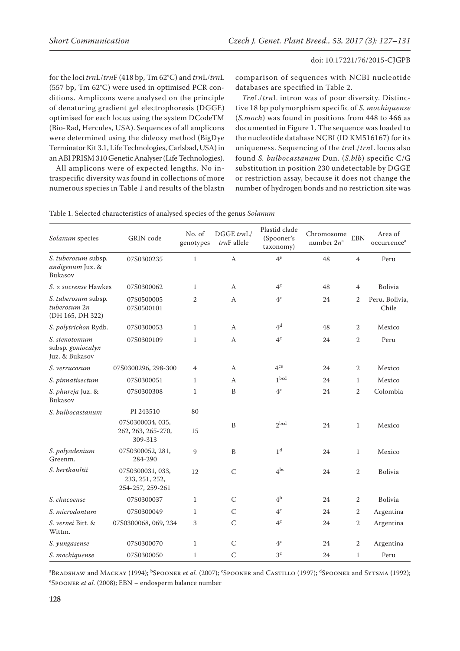for the loci *trn*L/*trn*F (418 bp, Tm 62°C) and *trn*L/*trn*L (557 bp, Tm 62°C) were used in optimised PCR conditions. Amplicons were analysed on the principle of denaturing gradient gel electrophoresis (DGGE) optimised for each locus using the system DCodeTM (Bio-Rad, Hercules, USA). Sequences of all amplicons were determined using the dideoxy method (BigDye Terminator Kit 3.1, Life Technologies, Carlsbad, USA) in an ABI PRISM 310 Genetic Analyser (Life Technologies).

All amplicons were of expected lengths. No intraspecific diversity was found in collections of more numerous species in Table 1 and results of the blastn

comparison of sequences with NCBI nucleotide databases are specified in Table 2.

*Trn*L/*trn*L intron was of poor diversity. Distinctive 18 bp polymorphism specific of *S. mochiquense*  (*S.moch*) was found in positions from 448 to 466 as documented in Figure 1. The sequence was loaded to the nucleotide database NCBI (ID KM516167) for its uniqueness. Sequencing of the *trn*L/*trn*L locus also found *S. bulbocastanum* Dun. (*S.blb*) specific C/G substitution in position 230 undetectable by DGGE or restriction assay, because it does not change the number of hydrogen bonds and no restriction site was

| Solanum species                                         | <b>GRIN</b> code                                       | No. of<br>genotypes | DGGE trnL/<br>$trnF$ allele | Plastid clade<br>(Spooner's<br>taxonomy) | Chromosome<br>number $2n^a$ | <b>EBN</b>     | Area of<br>occurrence <sup>a</sup> |
|---------------------------------------------------------|--------------------------------------------------------|---------------------|-----------------------------|------------------------------------------|-----------------------------|----------------|------------------------------------|
| S. tuberosum subsp.<br>andigenum Juz. &<br>Bukasov      | 07S0300235                                             | $\mathbf{1}$        | A                           | $4^e$                                    | 48                          | $\overline{4}$ | Peru                               |
| $S_{\cdot} \times$ sucrense Hawkes                      | 07S0300062                                             | $\mathbf{1}$        | А                           | 4 <sup>c</sup>                           | 48                          | $\overline{4}$ | Bolivia                            |
| S. tuberosum subsp.<br>tuberosum 2n<br>(DH 165, DH 322) | 07S0500005<br>07S0500101                               | $\mathbf{2}$        | A                           | 4 <sup>c</sup>                           | 24                          | $\overline{2}$ | Peru, Bolivia,<br>Chile            |
| S. polytrichon Rydb.                                    | 07S0300053                                             | $\mathbf{1}$        | A                           | 4 <sup>d</sup>                           | 48                          | 2              | Mexico                             |
| S. stenotomum<br>subsp. goniocalyx<br>Juz. & Bukasov    | 07S0300109                                             | $\mathbf{1}$        | A                           | 4 <sup>c</sup>                           | 24                          | 2              | Peru                               |
| S. verrucosum                                           | 07S0300296, 298-300                                    | 4                   | A                           | 4 <sup>ce</sup>                          | 24                          | $\overline{2}$ | Mexico                             |
| S. pinnatisectum                                        | 07S0300051                                             | $\mathbf{1}$        | А                           | 1 <sub>bcd</sub>                         | 24                          | $\mathbf{1}$   | Mexico                             |
| S. phureja Juz. &<br>Bukasov                            | 07S0300308                                             | $\mathbf{1}$        | $\, {\bf B}$                | $4^{\rm c}$                              | 24                          | $\sqrt{2}$     | Colombia                           |
| S. bulbocastanum                                        | PI 243510                                              | 80                  |                             |                                          |                             |                |                                    |
|                                                         | 07S0300034, 035,<br>262, 263, 265-270,<br>309-313      | 15                  | B                           | $2$ bcd                                  | 24                          | $\mathbf{1}$   | Mexico                             |
| S. polyadenium<br>Greenm.                               | 07S0300052, 281,<br>284-290                            | 9                   | B                           | 1 <sup>d</sup>                           | 24                          | $\mathbf{1}$   | Mexico                             |
| S. berthaultii                                          | 07S0300031, 033,<br>233, 251, 252,<br>254-257, 259-261 | 12                  | $\overline{C}$              | $4^{bc}$                                 | 24                          | $\overline{2}$ | Bolivia                            |
| S. chacoense                                            | 07S0300037                                             | $\mathbf{1}$        | C                           | 4 <sup>b</sup>                           | 24                          | 2              | Bolivia                            |
| S. microdontum                                          | 07S0300049                                             | $\mathbf{1}$        | $\mathcal{C}$               | 4 <sup>c</sup>                           | 24                          | $\overline{2}$ | Argentina                          |
| S. vernei Bitt. &<br>Wittm.                             | 07S0300068, 069, 234                                   | 3                   | $\mathsf{C}$                | 4 <sup>c</sup>                           | 24                          | $\overline{2}$ | Argentina                          |
| S. yungasense                                           | 07S0300070                                             | $\mathbf{1}$        | $\mathsf{C}$                | 4 <sup>c</sup>                           | 24                          | $\mathbf{2}$   | Argentina                          |
| S. mochiquense                                          | 07S0300050                                             | $\mathbf{1}$        | $\overline{C}$              | 3 <sup>c</sup>                           | 24                          | 1              | Peru                               |

<sup>a</sup>Bradshaw and Mackay (1994); <sup>b</sup>Spooner *et al.* (2007); <sup>c</sup>Spooner and Castillo (1997); <sup>d</sup>Spooner and Sytsma (1992); e Spooner *et al.* (2008); EBN − endosperm balance number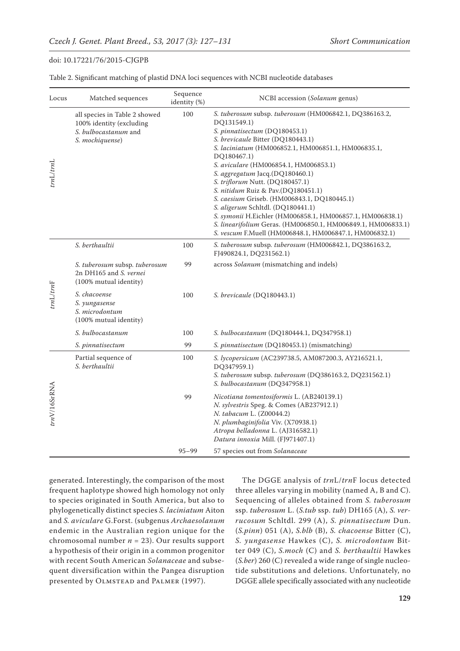| Locus          | Matched sequences                                                                                    | Sequence<br>identity (%) | NCBI accession (Solanum genus)                                                                                                                                                                                                                                                                                                                                                                                                                                                                                                                                                                                                                   |
|----------------|------------------------------------------------------------------------------------------------------|--------------------------|--------------------------------------------------------------------------------------------------------------------------------------------------------------------------------------------------------------------------------------------------------------------------------------------------------------------------------------------------------------------------------------------------------------------------------------------------------------------------------------------------------------------------------------------------------------------------------------------------------------------------------------------------|
| trnL/trnL      | all species in Table 2 showed<br>100% identity (excluding<br>S. bulbocastanum and<br>S. mochiquense) | 100                      | S. tuberosum subsp. tuberosum (HM006842.1, DQ386163.2,<br>DQ131549.1)<br>S. pinnatisectum (DQ180453.1)<br>S. brevicaule Bitter (DQ180443.1)<br>S. laciniatum (HM006852.1, HM006851.1, HM006835.1,<br>DQ180467.1)<br>S. aviculare (HM006854.1, HM006853.1)<br>S. aggregatum Jacq.(DQ180460.1)<br>S. triflorum Nutt. (DQ180457.1)<br>S. nitidum Ruiz & Pav.(DQ180451.1)<br>S. caesium Griseb. (HM006843.1, DQ180445.1)<br>S. aligerum Schltdl. (DQ180441.1)<br>S. symonii H.Eichler (HM006858.1, HM006857.1, HM006838.1)<br>S. linearifolium Geras. (HM006850.1, HM006849.1, HM006833.1)<br>S. vescum F.Muell (HM006848.1, HM006847.1, HM006832.1) |
| $trnL$ trn $F$ | S. berthaultii                                                                                       | 100                      | S. tuberosum subsp. tuberosum (HM006842.1, DQ386163.2,<br>FJ490824.1, DQ231562.1)                                                                                                                                                                                                                                                                                                                                                                                                                                                                                                                                                                |
|                | S. tuberosum subsp. tuberosum<br>2n DH165 and S. vernei<br>(100% mutual identity)                    | 99                       | across Solanum (mismatching and indels)                                                                                                                                                                                                                                                                                                                                                                                                                                                                                                                                                                                                          |
|                | S. chacoense<br>S. yungasense<br>S. microdontum<br>(100% mutual identity)                            | 100                      | S. brevicaule (DQ180443.1)                                                                                                                                                                                                                                                                                                                                                                                                                                                                                                                                                                                                                       |
|                | S. bulbocastanum                                                                                     | 100                      | S. bulbocastanum (DQ180444.1, DQ347958.1)                                                                                                                                                                                                                                                                                                                                                                                                                                                                                                                                                                                                        |
|                | S. pinnatisectum                                                                                     | 99                       | S. pinnatisectum (DQ180453.1) (mismatching)                                                                                                                                                                                                                                                                                                                                                                                                                                                                                                                                                                                                      |
| trnV/16SrRNA   | Partial sequence of<br>S. berthaultii                                                                | 100                      | S. lycopersicum (AC239738.5, AM087200.3, AY216521.1,<br>DQ347959.1)<br>S. tuberosum subsp. tuberosum (DQ386163.2, DQ231562.1)<br>S. bulbocastanum (DQ347958.1)                                                                                                                                                                                                                                                                                                                                                                                                                                                                                   |
|                |                                                                                                      | 99                       | Nicotiana tomentosiformis L. (AB240139.1)<br>N. sylvestris Speg. & Comes (AB237912.1)<br>N. tabacum L. (Z00044.2)<br>N. plumbaginifolia Viv. (X70938.1)<br>Atropa belladonna L. (AJ316582.1)<br>Datura innoxia Mill. (FJ971407.1)                                                                                                                                                                                                                                                                                                                                                                                                                |
|                |                                                                                                      | $95 - 99$                | 57 species out from Solanaceae                                                                                                                                                                                                                                                                                                                                                                                                                                                                                                                                                                                                                   |

Table 2. Significant matching of plastid DNA loci sequences with NCBI nucleotide databases

generated. Interestingly, the comparison of the most frequent haplotype showed high homology not only to species originated in South America, but also to phylogenetically distinct species *S. laciniatum* Aiton and *S. aviculare* G.Forst. (subgenus *Archaesolanum* endemic in the Australian region unique for the chromosomal number  $n = 23$ ). Our results support a hypothesis of their origin in a common progenitor with recent South American *Solanaceae* and subsequent diversification within the Pangea disruption presented by OLMSTEAD and PALMER (1997).

The DGGE analysis of *trn*L/*trn*F locus detected three alleles varying in mobility (named A, B and C). Sequencing of alleles obtained from *S. tuberosum*  ssp. *tuberosum* L. (*S.tub* ssp. *tub*) DH165 (A), *S. verrucosum* Schltdl. 299 (A), *S. pinnatisectum* Dun. (*S.pinn*) 051 (A), *S.blb* (B), *S. chacoense* Bitter (C), *S. yungasense* Hawkes (C), *S. microdontum* Bitter 049 (C), *S.moch* (C) and *S. berthaultii* Hawkes (*S.ber*) 260 (C) revealed a wide range of single nucleotide substitutions and deletions. Unfortunately, no DGGE allele specifically associated with any nucleotide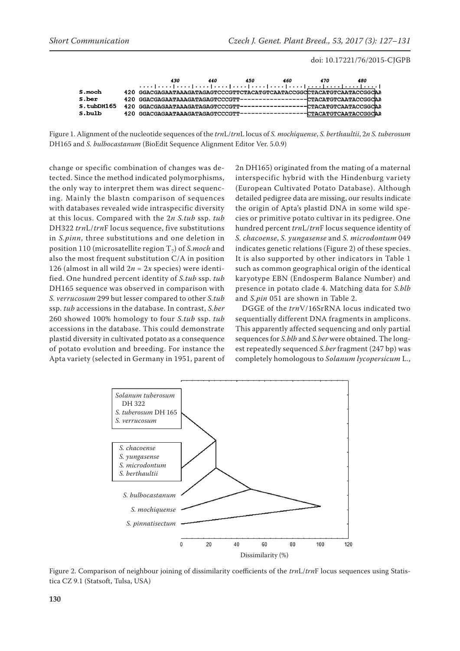|            | 430                                                                   | 440 | 450 | 460 | 470 | 480                     |
|------------|-----------------------------------------------------------------------|-----|-----|-----|-----|-------------------------|
| S.moch     | 420 GGACGAGAATAAAGATAGAGTCCCGTTCTACATGTCAATACCGGCCTACATGTCAATACCGGCAA |     |     |     |     |                         |
|            |                                                                       |     |     |     |     |                         |
| S.ber      |                                                                       |     |     |     |     |                         |
| S.tubDH165 |                                                                       |     |     |     |     |                         |
| S.bulb     |                                                                       |     |     |     |     | ---CTACATGTCAATACCGGCAA |

Figure 1. Alignment of the nucleotide sequences of the *trn*L/*trn*L locus of *S. mochiquense*, *S. berthaultii*, 2*n S. tuberosum* DH165 and *S. bulbocastanum* (BioEdit Sequence Alignment Editor Ver. 5.0.9)

change or specific combination of changes was detected. Since the method indicated polymorphisms, the only way to interpret them was direct sequencing. Mainly the blastn comparison of sequences with databases revealed wide intraspecific diversity at this locus. Compared with the 2*n S.tub* ssp. *tub* DH322 *trn*L/*trn*F locus sequence, five substitutions in *S.pinn*, three substitutions and one deletion in position 110 (microsatellite region T<sub>7</sub>) of *S.moch* and also the most frequent substitution C/A in position 126 (almost in all wild  $2n = 2x$  species) were identified. One hundred percent identity of *S.tub* ssp. *tub* DH165 sequence was observed in comparison with *S. verrucosum* 299 but lesser compared to other *S.tub* ssp. *tub* accessions in the database. In contrast, *S.ber* 260 showed 100% homology to four *S.tub* ssp. *tub* accessions in the database. This could demonstrate plastid diversity in cultivated potato as a consequence of potato evolution and breeding. For instance the Apta variety (selected in Germany in 1951, parent of 2n DH165) originated from the mating of a maternal interspecific hybrid with the Hindenburg variety (European Cultivated Potato Database). Although detailed pedigree data are missing, our results indicate the origin of Apta's plastid DNA in some wild species or primitive potato cultivar in its pedigree. One hundred percent *trn*L/*trn*F locus sequence identity of *S. chacoense*, *S. yungasense* and *S. microdontum* 049 indicates genetic relations (Figure 2) of these species. It is also supported by other indicators in Table 1 such as common geographical origin of the identical karyotype EBN (Endosperm Balance Number) and presence in potato clade 4. Matching data for *S.blb* and *S.pin* 051 are shown in Table 2.

DGGE of the *trn*V/16SrRNA locus indicated two sequentially different DNA fragments in amplicons. This apparently affected sequencing and only partial sequences for *S.blb* and *S.ber* were obtained. The longest repeatedly sequenced *S.ber* fragment (247 bp) was completely homologous to *Solanum lycopersicum* L.,



Figure 2. Comparison of neighbour joining of dissimilarity coefficients of the *trn*L/*trn*F locus sequences using Statistica CZ 9.1 (Statsoft, Tulsa, USA)